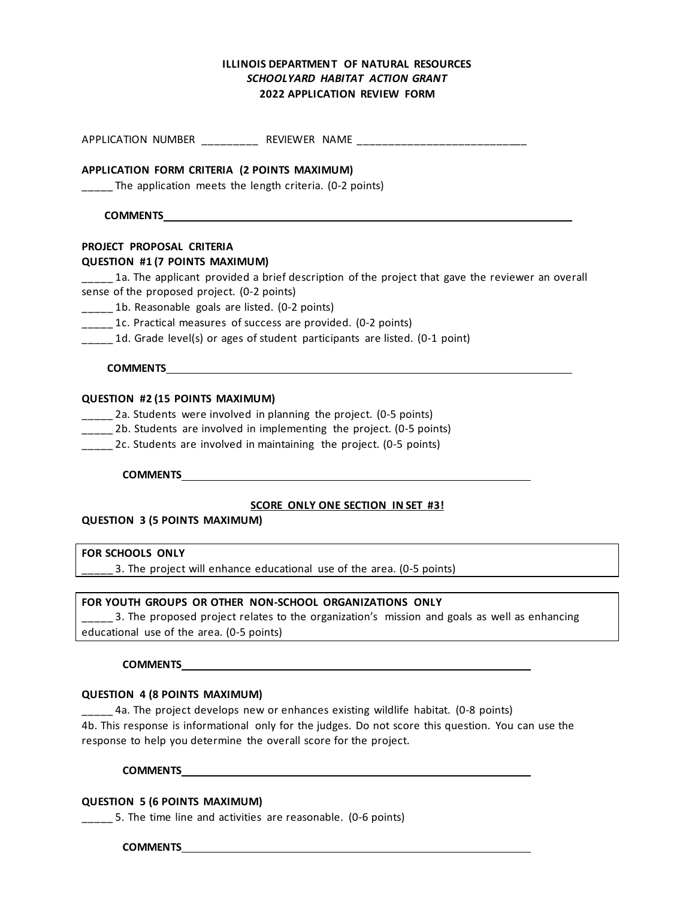# **ILLINOIS DEPARTMENT OF NATURAL RESOURCES** *SCHOOLYARD HABITAT ACTION GRANT*  **2022 APPLICATION REVIEW FORM**

APPLICATION NUMBER \_\_\_\_\_\_\_\_\_ REVIEWER NAME \_\_\_\_\_\_\_\_\_\_\_\_\_\_\_\_\_\_\_\_\_\_\_\_\_\_\_

### **APPLICATION FORM CRITERIA (2 POINTS MAXIMUM)**

\_\_\_\_\_ The application meets the length criteria. (0-2 points)

### **COMMENTS**

## **PROJECT PROPOSAL CRITERIA**

### **QUESTION #1 (7 POINTS MAXIMUM)**

 $\frac{1}{2}$  1a. The applicant provided a brief description of the project that gave the reviewer an overall sense of the proposed project. (0-2 points)

\_\_\_\_\_ 1b. Reasonable goals are listed. (0-2 points)

\_\_\_\_\_ 1c. Practical measures of success are provided. (0-2 points)

\_\_\_\_\_ 1d. Grade level(s) or ages of student participants are listed. (0-1 point)

## **COMMENTS**

## **QUESTION #2 (15 POINTS MAXIMUM)**

\_\_\_\_\_ 2a. Students were involved in planning the project. (0-5 points)

\_\_\_\_\_ 2b. Students are involved in implementing the project. (0-5 points)

2c. Students are involved in maintaining the project. (0-5 points)

### **COMMENTS**

# **SCORE ONLY ONE SECTION IN SET #3!**

**QUESTION 3 (5 POINTS MAXIMUM)**

### **FOR SCHOOLS ONLY**

\_\_\_\_\_ 3. The project will enhance educational use of the area. (0-5 points)

# **FOR YOUTH GROUPS OR OTHER NON-SCHOOL ORGANIZATIONS ONLY**

<sub>111</sub> 2. The proposed project relates to the organization's mission and goals as well as enhancing educational use of the area. (0-5 points)

### **COMMENTS**

### **QUESTION 4 (8 POINTS MAXIMUM)**

\_\_\_\_\_ 4a. The project develops new or enhances existing wildlife habitat. (0-8 points) 4b. This response is informational only for the judges. Do not score this question. You can use the response to help you determine the overall score for the project.

**COMMENTS**

# **QUESTION 5 (6 POINTS MAXIMUM)**

5. The time line and activities are reasonable. (0-6 points)

**COMMENTS**